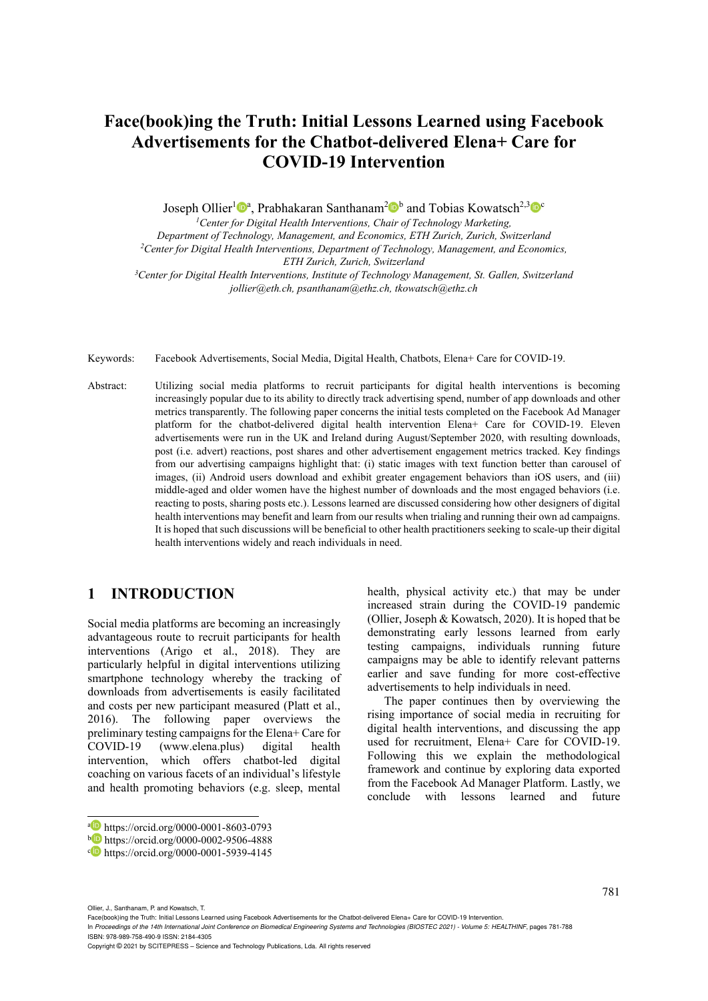# **Face(book)ing the Truth: Initial Lessons Learned using Facebook Advertisements for the Chatbot-delivered Elena+ Care for COVID-19 Intervention**

Joseph Ollier<sup>1</sup><sup>0</sup><sup>a</sup>, Prabhakaran Santhanam<sup>2</sup><sup>0</sup><sup>b</sup> and Tobias Kowatsch<sup>2,3</sup><sup>0</sup><sup>c</sup>

*1Center for Digital Health Interventions, Chair of Technology Marketing,* 

*Department of Technology, Management, and Economics, ETH Zurich, Zurich, Switzerland 2Center for Digital Health Interventions, Department of Technology, Management, and Economics,* 

*ETH Zurich, Zurich, Switzerland 3Center for Digital Health Interventions, Institute of Technology Management, St. Gallen, Switzerland jollier@eth.ch, psanthanam@ethz.ch, tkowatsch@ethz.ch* 

Keywords: Facebook Advertisements, Social Media, Digital Health, Chatbots, Elena+ Care for COVID-19.

Abstract: Utilizing social media platforms to recruit participants for digital health interventions is becoming increasingly popular due to its ability to directly track advertising spend, number of app downloads and other metrics transparently. The following paper concerns the initial tests completed on the Facebook Ad Manager platform for the chatbot-delivered digital health intervention Elena+ Care for COVID-19. Eleven advertisements were run in the UK and Ireland during August/September 2020, with resulting downloads, post (i.e. advert) reactions, post shares and other advertisement engagement metrics tracked. Key findings from our advertising campaigns highlight that: (i) static images with text function better than carousel of images, (ii) Android users download and exhibit greater engagement behaviors than iOS users, and (iii) middle-aged and older women have the highest number of downloads and the most engaged behaviors (i.e. reacting to posts, sharing posts etc.). Lessons learned are discussed considering how other designers of digital health interventions may benefit and learn from our results when trialing and running their own ad campaigns. It is hoped that such discussions will be beneficial to other health practitioners seeking to scale-up their digital health interventions widely and reach individuals in need.

## **1 INTRODUCTION**

Social media platforms are becoming an increasingly advantageous route to recruit participants for health interventions (Arigo et al., 2018). They are particularly helpful in digital interventions utilizing smartphone technology whereby the tracking of downloads from advertisements is easily facilitated and costs per new participant measured (Platt et al., 2016). The following paper overviews the preliminary testing campaigns for the Elena+ Care for COVID-19 (www.elena.plus) digital health intervention, which offers chatbot-led digital coaching on various facets of an individual's lifestyle and health promoting behaviors (e.g. sleep, mental

health, physical activity etc.) that may be under increased strain during the COVID-19 pandemic (Ollier, Joseph & Kowatsch, 2020). It is hoped that be demonstrating early lessons learned from early testing campaigns, individuals running future campaigns may be able to identify relevant patterns earlier and save funding for more cost-effective advertisements to help individuals in need.

The paper continues then by overviewing the rising importance of social media in recruiting for digital health interventions, and discussing the app used for recruitment, Elena+ Care for COVID-19. Following this we explain the methodological framework and continue by exploring data exported from the Facebook Ad Manager Platform. Lastly, we conclude with lessons learned and future

Face(book)ing the Truth: Initial Lessons Learned using Facebook Advertisements for the Chatbot-delivered Elena+ Care for COVID-19 Intervention.

In *Proceedings of the 14th International Joint Conference on Biomedical Engineering Systems and Technologies (BIOSTEC 2021) - Volume 5: HEALTHINF*, pages 781-788

Copyright © 2021 by SCITEPRESS – Science and Technology Publications, Lda. All rights reserved

a https://orcid.org/0000-0001-8603-0793<br>b https://orcid.org/0000-0002-9506-4888<br>b https://orcid.org/0000-0001-5939-4145

Ollier, J., Santhanam, P. and Kowatsch, T.

ISBN: 978-989-758-490-9 ISSN: 2184-4305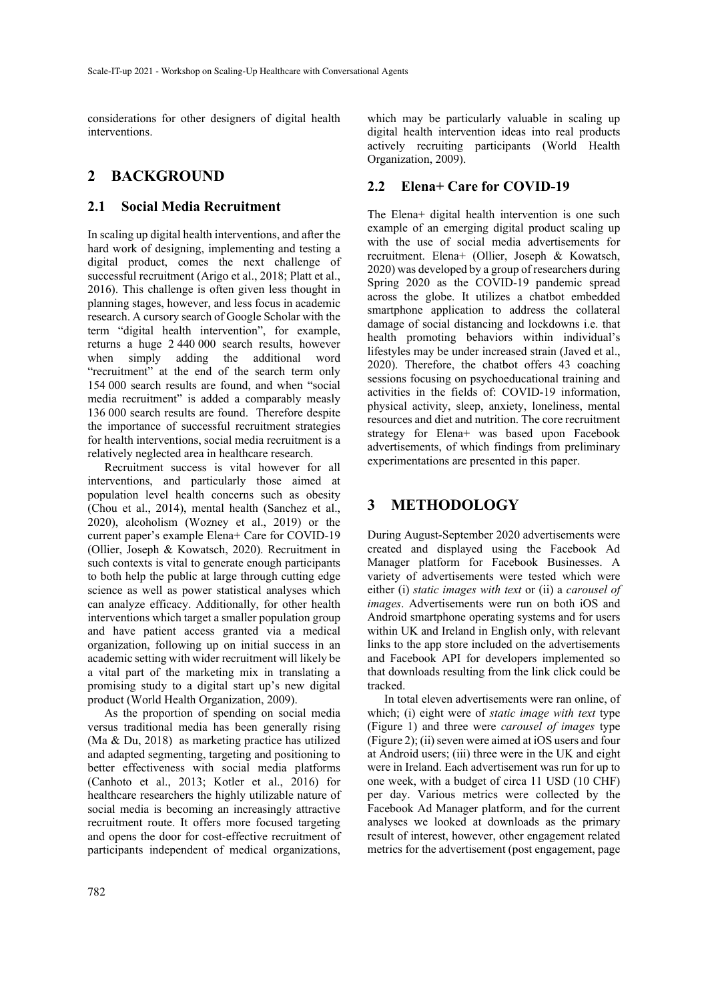considerations for other designers of digital health interventions.

#### **2 BACKGROUND**

#### **2.1 Social Media Recruitment**

In scaling up digital health interventions, and after the hard work of designing, implementing and testing a digital product, comes the next challenge of successful recruitment (Arigo et al., 2018; Platt et al., 2016). This challenge is often given less thought in planning stages, however, and less focus in academic research. A cursory search of Google Scholar with the term "digital health intervention", for example, returns a huge 2 440 000 search results, however when simply adding the additional word "recruitment" at the end of the search term only 154 000 search results are found, and when "social media recruitment" is added a comparably measly 136 000 search results are found. Therefore despite the importance of successful recruitment strategies for health interventions, social media recruitment is a relatively neglected area in healthcare research.

Recruitment success is vital however for all interventions, and particularly those aimed at population level health concerns such as obesity (Chou et al., 2014), mental health (Sanchez et al., 2020), alcoholism (Wozney et al., 2019) or the current paper's example Elena+ Care for COVID-19 (Ollier, Joseph & Kowatsch, 2020). Recruitment in such contexts is vital to generate enough participants to both help the public at large through cutting edge science as well as power statistical analyses which can analyze efficacy. Additionally, for other health interventions which target a smaller population group and have patient access granted via a medical organization, following up on initial success in an academic setting with wider recruitment will likely be a vital part of the marketing mix in translating a promising study to a digital start up's new digital product (World Health Organization, 2009).

As the proportion of spending on social media versus traditional media has been generally rising (Ma & Du, 2018) as marketing practice has utilized and adapted segmenting, targeting and positioning to better effectiveness with social media platforms (Canhoto et al., 2013; Kotler et al., 2016) for healthcare researchers the highly utilizable nature of social media is becoming an increasingly attractive recruitment route. It offers more focused targeting and opens the door for cost-effective recruitment of participants independent of medical organizations,

which may be particularly valuable in scaling up digital health intervention ideas into real products actively recruiting participants (World Health Organization, 2009).

#### **2.2 Elena+ Care for COVID-19**

The Elena+ digital health intervention is one such example of an emerging digital product scaling up with the use of social media advertisements for recruitment. Elena+ (Ollier, Joseph & Kowatsch, 2020) was developed by a group of researchers during Spring 2020 as the COVID-19 pandemic spread across the globe. It utilizes a chatbot embedded smartphone application to address the collateral damage of social distancing and lockdowns i.e. that health promoting behaviors within individual's lifestyles may be under increased strain (Javed et al., 2020). Therefore, the chatbot offers 43 coaching sessions focusing on psychoeducational training and activities in the fields of: COVID-19 information, physical activity, sleep, anxiety, loneliness, mental resources and diet and nutrition. The core recruitment strategy for Elena+ was based upon Facebook advertisements, of which findings from preliminary experimentations are presented in this paper.

#### **3 METHODOLOGY**

During August-September 2020 advertisements were created and displayed using the Facebook Ad Manager platform for Facebook Businesses. A variety of advertisements were tested which were either (i) *static images with text* or (ii) a *carousel of images*. Advertisements were run on both iOS and Android smartphone operating systems and for users within UK and Ireland in English only, with relevant links to the app store included on the advertisements and Facebook API for developers implemented so that downloads resulting from the link click could be tracked.

In total eleven advertisements were ran online, of which; (i) eight were of *static image with text* type (Figure 1) and three were *carousel of images* type (Figure 2); (ii) seven were aimed at iOS users and four at Android users; (iii) three were in the UK and eight were in Ireland. Each advertisement was run for up to one week, with a budget of circa 11 USD (10 CHF) per day. Various metrics were collected by the Facebook Ad Manager platform, and for the current analyses we looked at downloads as the primary result of interest, however, other engagement related metrics for the advertisement (post engagement, page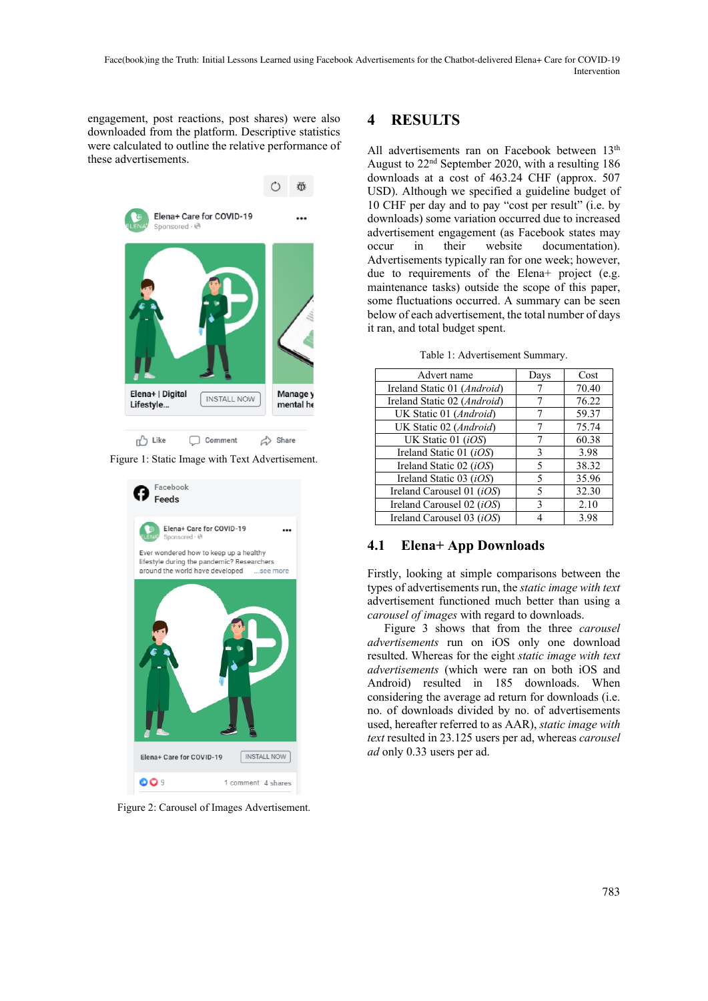engagement, post reactions, post shares) were also downloaded from the platform. Descriptive statistics were calculated to outline the relative performance of these advertisements.



Figure 1: Static Image with Text Advertisement.



Figure 2: Carousel of Images Advertisement.

## **4 RESULTS**

All advertisements ran on Facebook between 13<sup>th</sup> August to 22nd September 2020, with a resulting 186 downloads at a cost of 463.24 CHF (approx. 507 USD). Although we specified a guideline budget of 10 CHF per day and to pay "cost per result" (i.e. by downloads) some variation occurred due to increased advertisement engagement (as Facebook states may occur in their website documentation). Advertisements typically ran for one week; however, due to requirements of the Elena+ project (e.g. maintenance tasks) outside the scope of this paper, some fluctuations occurred. A summary can be seen below of each advertisement, the total number of days it ran, and total budget spent.

| Advert name                      | Days | Cost  |
|----------------------------------|------|-------|
| Ireland Static 01 (Android)      |      | 70.40 |
| Ireland Static 02 (Android)      |      | 76.22 |
| UK Static 01 (Android)           |      | 59.37 |
| UK Static 02 (Android)           |      | 75.74 |
| UK Static 01 (iOS)               |      | 60.38 |
| Ireland Static 01 ( <i>iOS</i> ) | 3    | 3.98  |
| Ireland Static 02 (iOS)          | 5    | 38.32 |
| Ireland Static 03 (iOS)          | 5    | 35.96 |
| Ireland Carousel 01 $(iOS)$      | 5    | 32.30 |
| Ireland Carousel 02 (iOS)        | 3    | 2.10  |
| Ireland Carousel 03 (iOS)        |      | 3.98  |

Table 1: Advertisement Summary.

### **4.1 Elena+ App Downloads**

Firstly, looking at simple comparisons between the types of advertisements run, the *static image with text* advertisement functioned much better than using a *carousel of images* with regard to downloads.

Figure 3 shows that from the three *carousel advertisements* run on iOS only one download resulted. Whereas for the eight *static image with text advertisements* (which were ran on both iOS and Android) resulted in 185 downloads. When considering the average ad return for downloads (i.e. no. of downloads divided by no. of advertisements used, hereafter referred to as AAR), *static image with text* resulted in 23.125 users per ad, whereas *carousel ad* only 0.33 users per ad.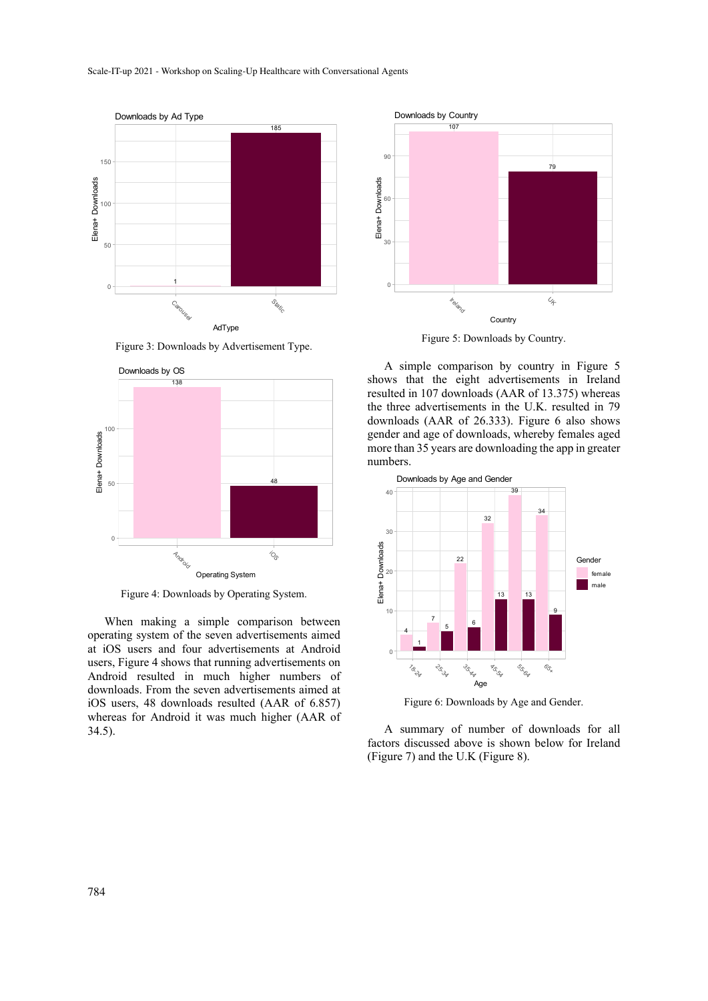

Figure 3: Downloads by Advertisement Type.



Figure 4: Downloads by Operating System.

When making a simple comparison between operating system of the seven advertisements aimed at iOS users and four advertisements at Android users, Figure 4 shows that running advertisements on Android resulted in much higher numbers of downloads. From the seven advertisements aimed at iOS users, 48 downloads resulted (AAR of 6.857) whereas for Android it was much higher (AAR of 34.5).



Figure 5: Downloads by Country.

A simple comparison by country in Figure 5 shows that the eight advertisements in Ireland resulted in 107 downloads (AAR of 13.375) whereas the three advertisements in the U.K. resulted in 79 downloads (AAR of 26.333). Figure 6 also shows gender and age of downloads, whereby females aged more than 35 years are downloading the app in greater numbers.



Figure 6: Downloads by Age and Gender.

A summary of number of downloads for all factors discussed above is shown below for Ireland (Figure 7) and the U.K (Figure 8).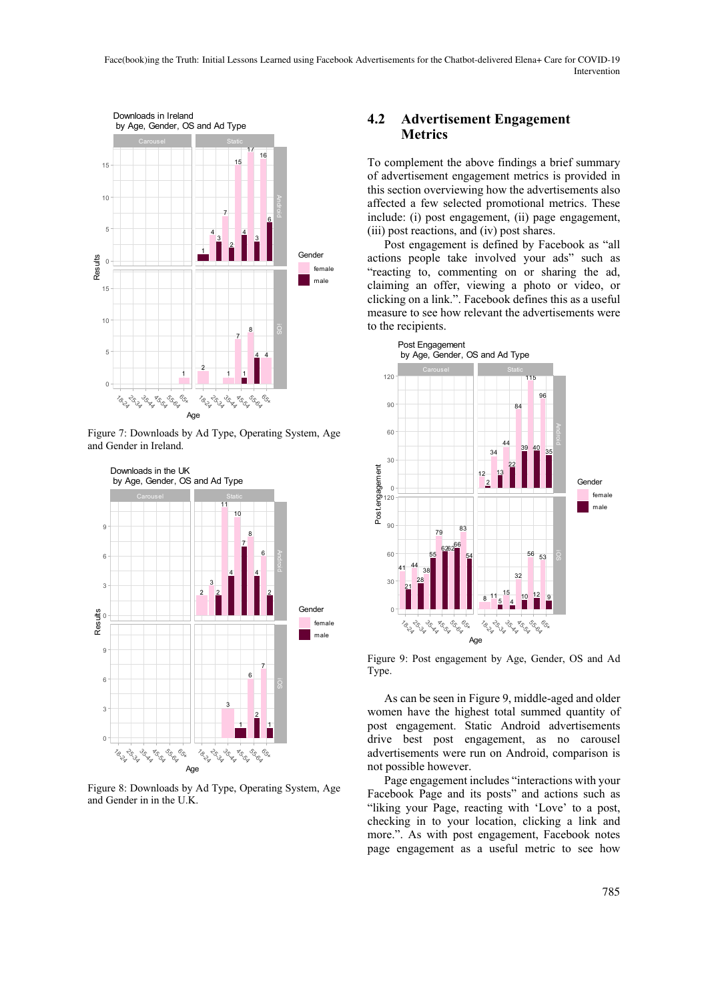

Figure 7: Downloads by Ad Type, Operating System, Age and Gender in Ireland.



Figure 8: Downloads by Ad Type, Operating System, Age and Gender in in the U.K.

#### **4.2 Advertisement Engagement Metrics**

To complement the above findings a brief summary of advertisement engagement metrics is provided in this section overviewing how the advertisements also affected a few selected promotional metrics. These include: (i) post engagement, (ii) page engagement, (iii) post reactions, and (iv) post shares.

Post engagement is defined by Facebook as "all actions people take involved your ads" such as "reacting to, commenting on or sharing the ad, claiming an offer, viewing a photo or video, or clicking on a link.". Facebook defines this as a useful measure to see how relevant the advertisements were to the recipients.



Figure 9: Post engagement by Age, Gender, OS and Ad Type.

As can be seen in Figure 9, middle-aged and older women have the highest total summed quantity of post engagement. Static Android advertisements drive best post engagement, as no carousel advertisements were run on Android, comparison is not possible however.

Page engagement includes "interactions with your Facebook Page and its posts" and actions such as "liking your Page, reacting with 'Love' to a post, checking in to your location, clicking a link and more.". As with post engagement, Facebook notes page engagement as a useful metric to see how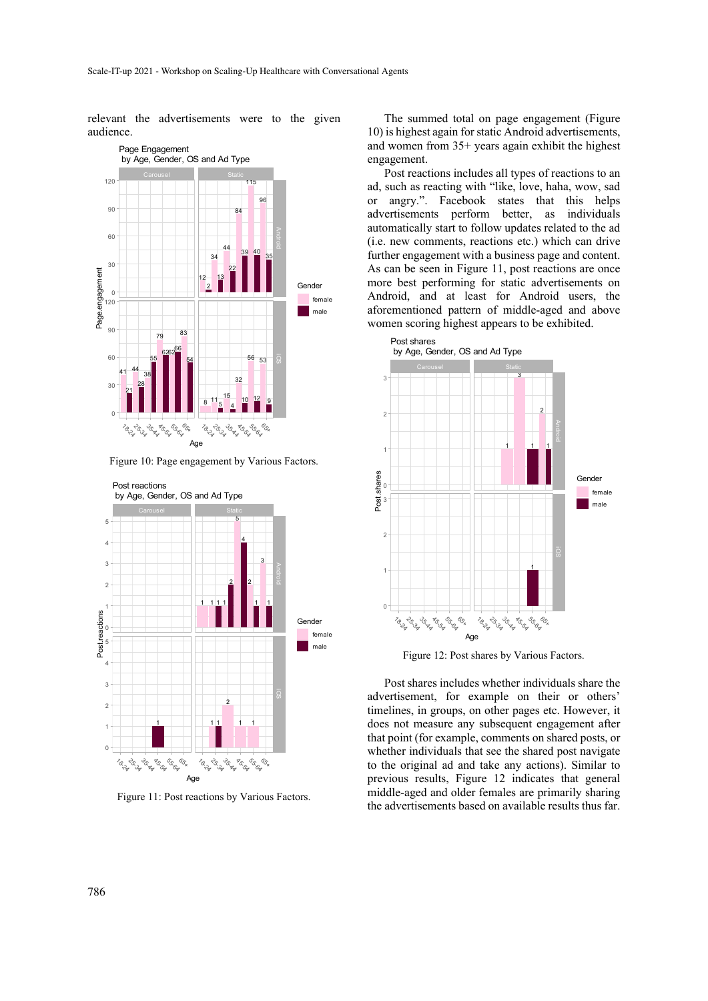relevant the advertisements were to the given audience.



Figure 10: Page engagement by Various Factors.



Figure 11: Post reactions by Various Factors.

The summed total on page engagement (Figure 10) is highest again for static Android advertisements, and women from 35+ years again exhibit the highest engagement.

Post reactions includes all types of reactions to an ad, such as reacting with "like, love, haha, wow, sad or angry.". Facebook states that this helps advertisements perform better, as individuals automatically start to follow updates related to the ad (i.e. new comments, reactions etc.) which can drive further engagement with a business page and content. As can be seen in Figure 11, post reactions are once more best performing for static advertisements on Android, and at least for Android users, the aforementioned pattern of middle-aged and above women scoring highest appears to be exhibited.



Figure 12: Post shares by Various Factors.

Post shares includes whether individuals share the advertisement, for example on their or others' timelines, in groups, on other pages etc. However, it does not measure any subsequent engagement after that point (for example, comments on shared posts, or whether individuals that see the shared post navigate to the original ad and take any actions). Similar to previous results, Figure 12 indicates that general middle-aged and older females are primarily sharing the advertisements based on available results thus far.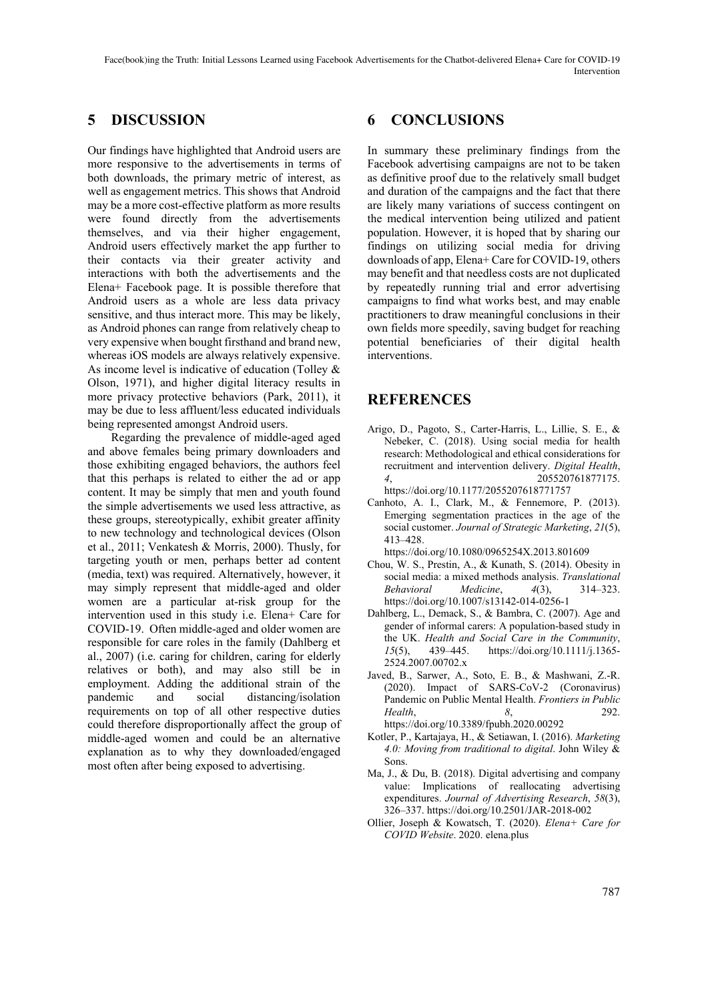## **5 DISCUSSION**

Our findings have highlighted that Android users are more responsive to the advertisements in terms of both downloads, the primary metric of interest, as well as engagement metrics. This shows that Android may be a more cost-effective platform as more results were found directly from the advertisements themselves, and via their higher engagement, Android users effectively market the app further to their contacts via their greater activity and interactions with both the advertisements and the Elena+ Facebook page. It is possible therefore that Android users as a whole are less data privacy sensitive, and thus interact more. This may be likely, as Android phones can range from relatively cheap to very expensive when bought firsthand and brand new, whereas iOS models are always relatively expensive. As income level is indicative of education (Tolley & Olson, 1971), and higher digital literacy results in more privacy protective behaviors (Park, 2011), it may be due to less affluent/less educated individuals being represented amongst Android users.

 Regarding the prevalence of middle-aged aged and above females being primary downloaders and those exhibiting engaged behaviors, the authors feel that this perhaps is related to either the ad or app content. It may be simply that men and youth found the simple advertisements we used less attractive, as these groups, stereotypically, exhibit greater affinity to new technology and technological devices (Olson et al., 2011; Venkatesh & Morris, 2000). Thusly, for targeting youth or men, perhaps better ad content (media, text) was required. Alternatively, however, it may simply represent that middle-aged and older women are a particular at-risk group for the intervention used in this study i.e. Elena+ Care for COVID-19. Often middle-aged and older women are responsible for care roles in the family (Dahlberg et al., 2007) (i.e. caring for children, caring for elderly relatives or both), and may also still be in employment. Adding the additional strain of the pandemic and social distancing/isolation requirements on top of all other respective duties could therefore disproportionally affect the group of middle-aged women and could be an alternative explanation as to why they downloaded/engaged most often after being exposed to advertising.

### **6 CONCLUSIONS**

In summary these preliminary findings from the Facebook advertising campaigns are not to be taken as definitive proof due to the relatively small budget and duration of the campaigns and the fact that there are likely many variations of success contingent on the medical intervention being utilized and patient population. However, it is hoped that by sharing our findings on utilizing social media for driving downloads of app, Elena+ Care for COVID-19, others may benefit and that needless costs are not duplicated by repeatedly running trial and error advertising campaigns to find what works best, and may enable practitioners to draw meaningful conclusions in their own fields more speedily, saving budget for reaching potential beneficiaries of their digital health interventions.

### **REFERENCES**

- Arigo, D., Pagoto, S., Carter-Harris, L., Lillie, S. E., & Nebeker, C. (2018). Using social media for health research: Methodological and ethical considerations for recruitment and intervention delivery. *Digital Health*, *4*, 205520761877175. https://doi.org/10.1177/2055207618771757
- Canhoto, A. I., Clark, M., & Fennemore, P. (2013). Emerging segmentation practices in the age of the social customer. *Journal of Strategic Marketing*, *21*(5), 413–428.

https://doi.org/10.1080/0965254X.2013.801609

- Chou, W. S., Prestin, A., & Kunath, S. (2014). Obesity in social media: a mixed methods analysis. *Translational Behavioral Medicine*, *4*(3), 314–323. https://doi.org/10.1007/s13142-014-0256-1
- Dahlberg, L., Demack, S., & Bambra, C. (2007). Age and gender of informal carers: A population-based study in the UK. *Health and Social Care in the Community*, *15*(5), 439–445. https://doi.org/10.1111/j.1365- 2524.2007.00702.x
- Javed, B., Sarwer, A., Soto, E. B., & Mashwani, Z.-R. (2020). Impact of SARS-CoV-2 (Coronavirus) Pandemic on Public Mental Health. *Frontiers in Public Health*, *8*, 292. https://doi.org/10.3389/fpubh.2020.00292

- Kotler, P., Kartajaya, H., & Setiawan, I. (2016). *Marketing 4.0: Moving from traditional to digital*. John Wiley & Sons.
- Ma, J., & Du, B. (2018). Digital advertising and company value: Implications of reallocating advertising expenditures. *Journal of Advertising Research*, *58*(3), 326–337. https://doi.org/10.2501/JAR-2018-002
- Ollier, Joseph & Kowatsch, T. (2020). *Elena+ Care for COVID Website*. 2020. elena.plus